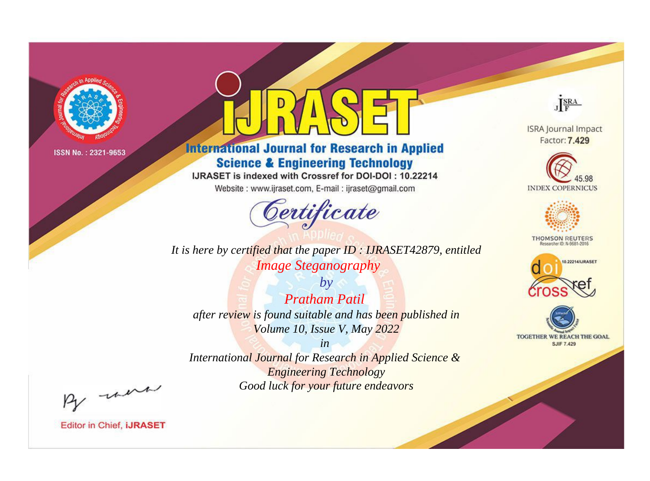

# **International Journal for Research in Applied Science & Engineering Technology**

IJRASET is indexed with Crossref for DOI-DOI: 10.22214

Website: www.ijraset.com, E-mail: ijraset@gmail.com



*It is here by certified that the paper ID : IJRASET42879, entitled Image Steganography*

*by Pratham Patil after review is found suitable and has been published in Volume 10, Issue V, May 2022*

*in International Journal for Research in Applied Science & Engineering Technology Good luck for your future endeavors*



**ISRA Journal Impact** Factor: 7.429





**THOMSON REUTERS** 





By morn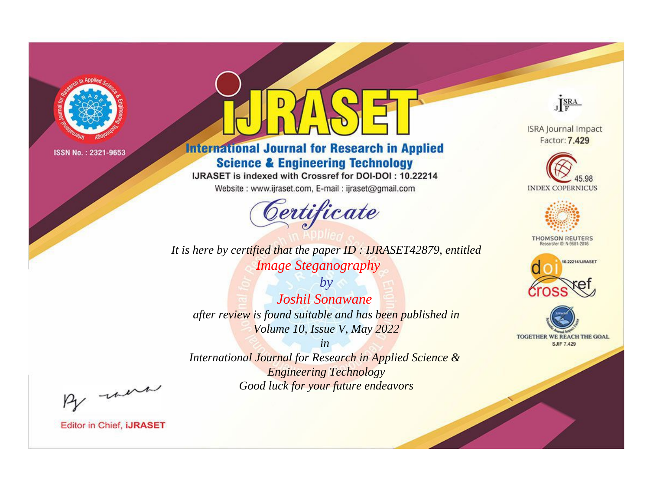

# **International Journal for Research in Applied Science & Engineering Technology**

IJRASET is indexed with Crossref for DOI-DOI: 10.22214

Website: www.ijraset.com, E-mail: ijraset@gmail.com



It is here by certified that the paper ID: IJRASET42879, entitled **Image Steganography** 

 $b\nu$ **Joshil Sonawane** after review is found suitable and has been published in Volume 10, Issue V, May 2022

 $in$ International Journal for Research in Applied Science & **Engineering Technology** Good luck for your future endeavors



**ISRA Journal Impact** Factor: 7.429





**THOMSON REUTERS** 



TOGETHER WE REACH THE GOAL **SJIF 7.429** 

By morn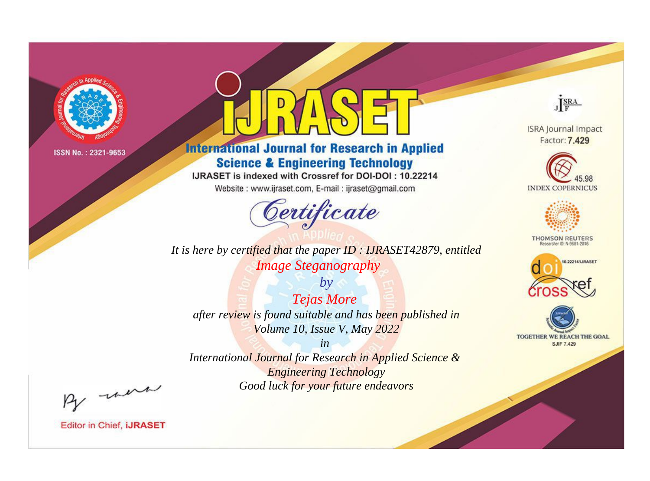

# **International Journal for Research in Applied Science & Engineering Technology**

IJRASET is indexed with Crossref for DOI-DOI: 10.22214

Website: www.ijraset.com, E-mail: ijraset@gmail.com



*It is here by certified that the paper ID : IJRASET42879, entitled Image Steganography*

*by Tejas More after review is found suitable and has been published in Volume 10, Issue V, May 2022*

*in International Journal for Research in Applied Science & Engineering Technology Good luck for your future endeavors*



**ISRA Journal Impact** Factor: 7.429





**THOMSON REUTERS** 





By morn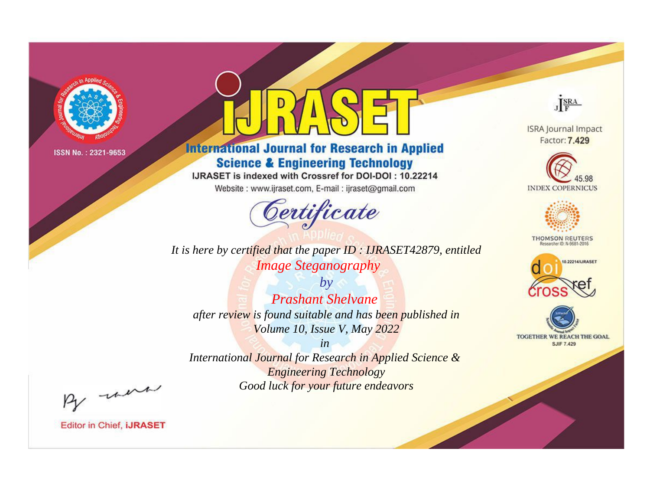

# **International Journal for Research in Applied Science & Engineering Technology**

IJRASET is indexed with Crossref for DOI-DOI: 10.22214

Website: www.ijraset.com, E-mail: ijraset@gmail.com



*It is here by certified that the paper ID : IJRASET42879, entitled Image Steganography*

*by Prashant Shelvane after review is found suitable and has been published in Volume 10, Issue V, May 2022*

*in International Journal for Research in Applied Science & Engineering Technology Good luck for your future endeavors*



**ISRA Journal Impact** Factor: 7.429





**THOMSON REUTERS** 





By morn